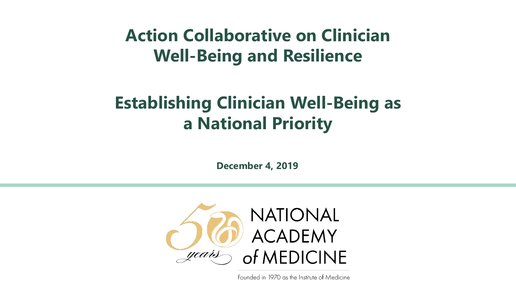#### **Action Collaborative on Clinician Well-Being and Resilience**

#### **Establishing Clinician Well-Being as a National Priority**

**December 4, 2019**



Founded in 1970 as the Institute of Medicine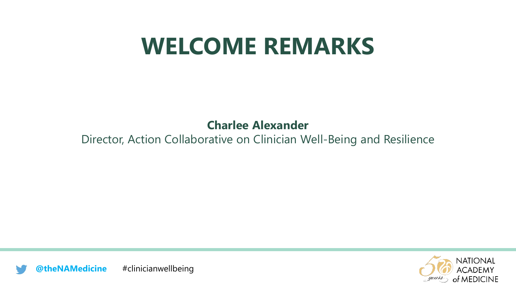### **WELCOME REMARKS**

#### **Charlee Alexander**

#### Director, Action Collaborative on Clinician Well-Being and Resilience



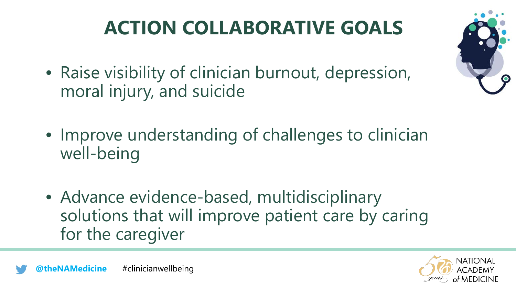## **ACTION COLLABORATIVE GOALS**

• Raise visibility of clinician burnout, depression, moral injury, and suicide



- Improve understanding of challenges to clinician well-being
- Advance evidence-based, multidisciplinary solutions that will improve patient care by caring for the caregiver

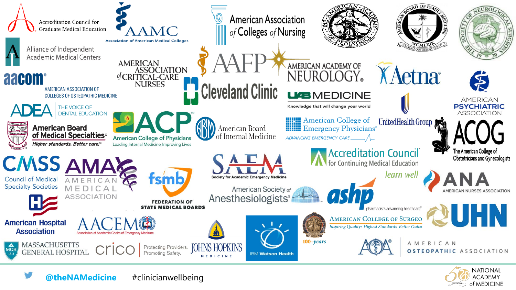

**NATIONAL ACADEMY** of MEDICINE

**@theNAMedicine** #clinicianwellbeing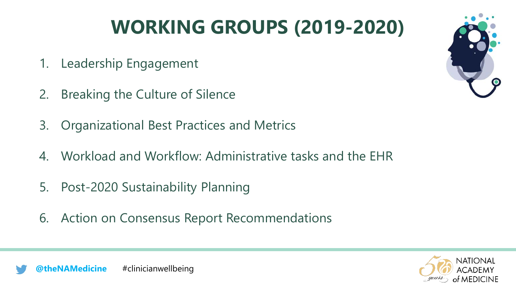## **WORKING GROUPS (2019-2020)**

- 1. Leadership Engagement
- 2. Breaking the Culture of Silence
- 3. Organizational Best Practices and Metrics
- 4. Workload and Workflow: Administrative tasks and the EHR
- 5. Post-2020 Sustainability Planning
- 6. Action on Consensus Report Recommendations





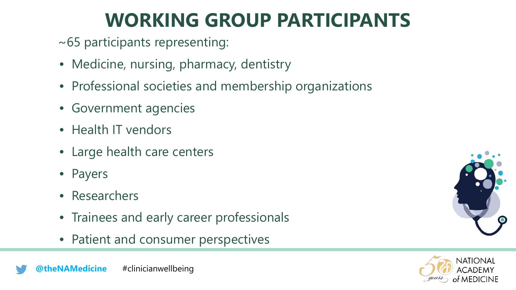#### **WORKING GROUP PARTICIPANTS**

~65 participants representing:

- Medicine, nursing, pharmacy, dentistry
- Professional societies and membership organizations
- Government agencies
- Health IT vendors
- Large health care centers
- Payers
- Researchers
- Trainees and early career professionals
- Patient and consumer perspectives



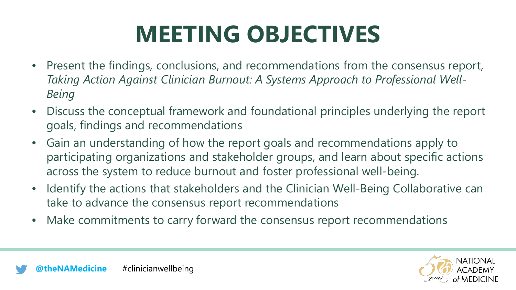# **MEETING OBJECTIVES**

- Present the findings, conclusions, and recommendations from the consensus report, *Taking Action Against Clinician Burnout: A Systems Approach to Professional Well-Being*
- Discuss the conceptual framework and foundational principles underlying the report goals, findings and recommendations
- Gain an understanding of how the report goals and recommendations apply to participating organizations and stakeholder groups, and learn about specific actions across the system to reduce burnout and foster professional well-being.
- Identify the actions that stakeholders and the Clinician Well-Being Collaborative can take to advance the consensus report recommendations
- Make commitments to carry forward the consensus report recommendations